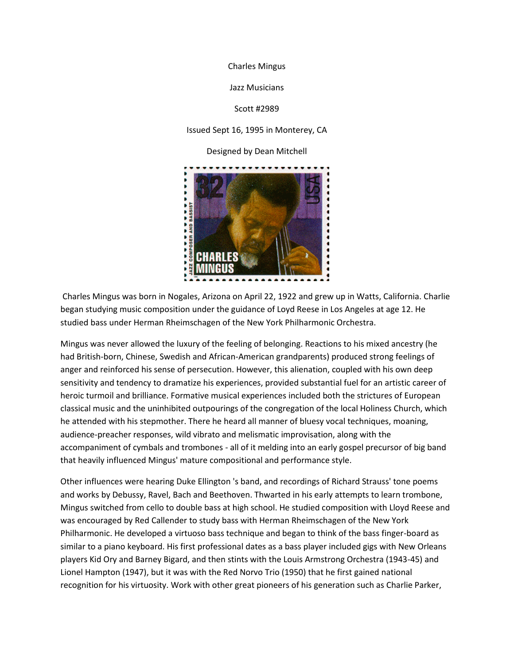Charles Mingus

Jazz Musicians

Scott #2989

Issued Sept 16, 1995 in Monterey, CA

Designed by Dean Mitchell



Charles Mingus was born in Nogales, Arizona on April 22, 1922 and grew up in Watts, California. Charlie began studying music composition under the guidance of Loyd Reese in Los Angeles at age 12. He studied bass under Herman Rheimschagen of the New York Philharmonic Orchestra.

Mingus was never allowed the luxury of the feeling of belonging. Reactions to his mixed ancestry (he had British-born, Chinese, Swedish and African-American grandparents) produced strong feelings of anger and reinforced his sense of persecution. However, this alienation, coupled with his own deep sensitivity and tendency to dramatize his experiences, provided substantial fuel for an artistic career of heroic turmoil and brilliance. Formative musical experiences included both the strictures of European classical music and the uninhibited outpourings of the congregation of the local Holiness Church, which he attended with his stepmother. There he heard all manner of bluesy vocal techniques, moaning, audience-preacher responses, wild vibrato and melismatic improvisation, along with the accompaniment of cymbals and trombones - all of it melding into an early gospel precursor of big band that heavily influenced Mingus' mature compositional and performance style.

Other influences were hearing Duke Ellington 's band, and recordings of Richard Strauss' tone poems and works by Debussy, Ravel, Bach and Beethoven. Thwarted in his early attempts to learn trombone, Mingus switched from cello to double bass at high school. He studied composition with Lloyd Reese and was encouraged by Red Callender to study bass with Herman Rheimschagen of the New York Philharmonic. He developed a virtuoso bass technique and began to think of the bass finger-board as similar to a piano keyboard. His first professional dates as a bass player included gigs with New Orleans players Kid Ory and Barney Bigard, and then stints with the Louis Armstrong Orchestra (1943-45) and Lionel Hampton (1947), but it was with the Red Norvo Trio (1950) that he first gained national recognition for his virtuosity. Work with other great pioneers of his generation such as Charlie Parker,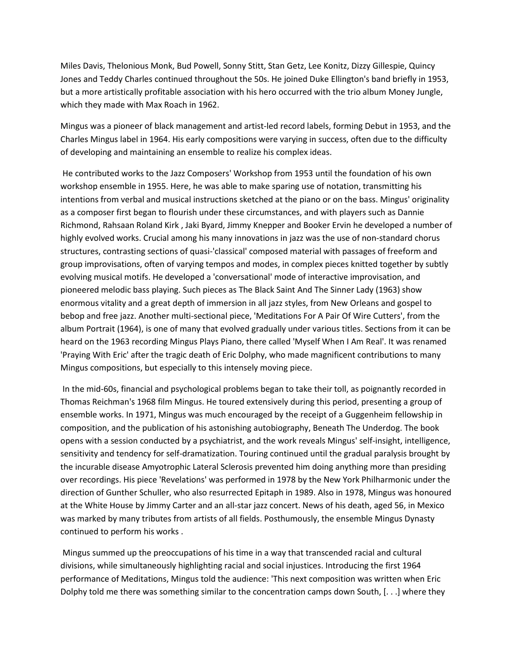Miles Davis, Thelonious Monk, Bud Powell, Sonny Stitt, Stan Getz, Lee Konitz, Dizzy Gillespie, Quincy Jones and Teddy Charles continued throughout the 50s. He joined Duke Ellington's band briefly in 1953, but a more artistically profitable association with his hero occurred with the trio album Money Jungle, which they made with Max Roach in 1962.

Mingus was a pioneer of black management and artist-led record labels, forming Debut in 1953, and the Charles Mingus label in 1964. His early compositions were varying in success, often due to the difficulty of developing and maintaining an ensemble to realize his complex ideas.

He contributed works to the Jazz Composers' Workshop from 1953 until the foundation of his own workshop ensemble in 1955. Here, he was able to make sparing use of notation, transmitting his intentions from verbal and musical instructions sketched at the piano or on the bass. Mingus' originality as a composer first began to flourish under these circumstances, and with players such as Dannie Richmond, Rahsaan Roland Kirk , Jaki Byard, Jimmy Knepper and Booker Ervin he developed a number of highly evolved works. Crucial among his many innovations in jazz was the use of non-standard chorus structures, contrasting sections of quasi-'classical' composed material with passages of freeform and group improvisations, often of varying tempos and modes, in complex pieces knitted together by subtly evolving musical motifs. He developed a 'conversational' mode of interactive improvisation, and pioneered melodic bass playing. Such pieces as The Black Saint And The Sinner Lady (1963) show enormous vitality and a great depth of immersion in all jazz styles, from New Orleans and gospel to bebop and free jazz. Another multi-sectional piece, 'Meditations For A Pair Of Wire Cutters', from the album Portrait (1964), is one of many that evolved gradually under various titles. Sections from it can be heard on the 1963 recording Mingus Plays Piano, there called 'Myself When I Am Real'. It was renamed 'Praying With Eric' after the tragic death of Eric Dolphy, who made magnificent contributions to many Mingus compositions, but especially to this intensely moving piece.

In the mid-60s, financial and psychological problems began to take their toll, as poignantly recorded in Thomas Reichman's 1968 film Mingus. He toured extensively during this period, presenting a group of ensemble works. In 1971, Mingus was much encouraged by the receipt of a Guggenheim fellowship in composition, and the publication of his astonishing autobiography, Beneath The Underdog. The book opens with a session conducted by a psychiatrist, and the work reveals Mingus' self-insight, intelligence, sensitivity and tendency for self-dramatization. Touring continued until the gradual paralysis brought by the incurable disease Amyotrophic Lateral Sclerosis prevented him doing anything more than presiding over recordings. His piece 'Revelations' was performed in 1978 by the New York Philharmonic under the direction of Gunther Schuller, who also resurrected Epitaph in 1989. Also in 1978, Mingus was honoured at the White House by Jimmy Carter and an all-star jazz concert. News of his death, aged 56, in Mexico was marked by many tributes from artists of all fields. Posthumously, the ensemble Mingus Dynasty continued to perform his works .

Mingus summed up the preoccupations of his time in a way that transcended racial and cultural divisions, while simultaneously highlighting racial and social injustices. Introducing the first 1964 performance of Meditations, Mingus told the audience: 'This next composition was written when Eric Dolphy told me there was something similar to the concentration camps down South, [. . .] where they